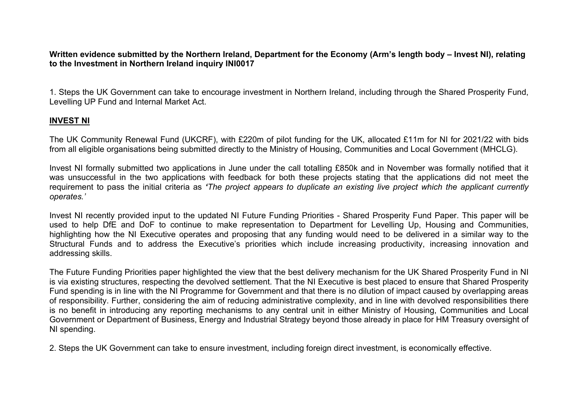Written evidence submitted by the Northern Ireland, Department for the Economy (Arm's length body – Invest NI), relating **to the Investment in Northern Ireland inquiry INI0017**

1. Steps the UK Government can take to encourage investment in Northern Ireland, including through the Shared Prosperity Fund, Levelling UP Fund and Internal Market Act.

## **INVEST NI**

The UK Community Renewal Fund (UKCRF), with £220m of pilot funding for the UK, allocated £11m for NI for 2021/22 with bids from all eligible organisations being submitted directly to the Ministry of Housing, Communities and Local Government (MHCLG).

Invest NI formally submitted two applications in June under the call totalling £850k and in November was formally notified that it was unsuccessful in the two applications with feedback for both these projects stating that the applications did not meet the requirement to pass the initial criteria as 'The project appears to duplicate an existing live project which the applicant currently *operates.'*

Invest NI recently provided input to the updated NI Future Funding Priorities - Shared Prosperity Fund Paper. This paper will be used to help DfE and DoF to continue to make representation to Department for Levelling Up, Housing and Communities, highlighting how the NI Executive operates and proposing that any funding would need to be delivered in a similar way to the Structural Funds and to address the Executive's priorities which include increasing productivity, increasing innovation and addressing skills.

The Future Funding Priorities paper highlighted the view that the best delivery mechanism for the UK Shared Prosperity Fund in NI is via existing structures, respecting the devolved settlement. That the NI Executive is best placed to ensure that Shared Prosperity Fund spending is in line with the NI Programme for Government and that there is no dilution of impact caused by overlapping areas of responsibility. Further, considering the aim of reducing administrative complexity, and in line with devolved responsibilities there is no benefit in introducing any reporting mechanisms to any central unit in either Ministry of Housing, Communities and Local Government or Department of Business, Energy and Industrial Strategy beyond those already in place for HM Treasury oversight of NI spending.

2. Steps the UK Government can take to ensure investment, including foreign direct investment, is economically effective.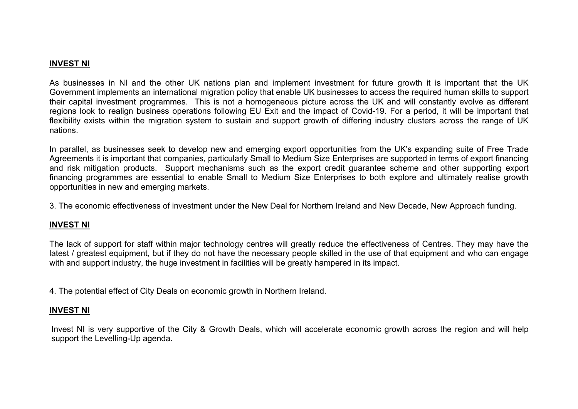## **INVEST NI**

As businesses in NI and the other UK nations plan and implement investment for future growth it is important that the UK Government implements an international migration policy that enable UK businesses to access the required human skills to support their capital investment programmes. This is not a homogeneous picture across the UK and will constantly evolve as different regions look to realign business operations following EU Exit and the impact of Covid-19. For a period, it will be important that flexibility exists within the migration system to sustain and support growth of differing industry clusters across the range of UK nations.

In parallel, as businesses seek to develop new and emerging export opportunities from the UK's expanding suite of Free Trade Agreements it is important that companies, particularly Small to Medium Size Enterprises are supported in terms of export financing and risk mitigation products. Support mechanisms such as the export credit guarantee scheme and other supporting export financing programmes are essential to enable Small to Medium Size Enterprises to both explore and ultimately realise growth opportunities in new and emerging markets.

3. The economic effectiveness of investment under the New Deal for Northern Ireland and New Decade, New Approach funding.

# **INVEST NI**

The lack of support for staff within major technology centres will greatly reduce the effectiveness of Centres. They may have the latest / greatest equipment, but if they do not have the necessary people skilled in the use of that equipment and who can engage with and support industry, the huge investment in facilities will be greatly hampered in its impact.

4. The potential effect of City Deals on economic growth in Northern Ireland.

## **INVEST NI**

Invest NI is very supportive of the City & Growth Deals, which will accelerate economic growth across the region and will help support the Levelling-Up agenda.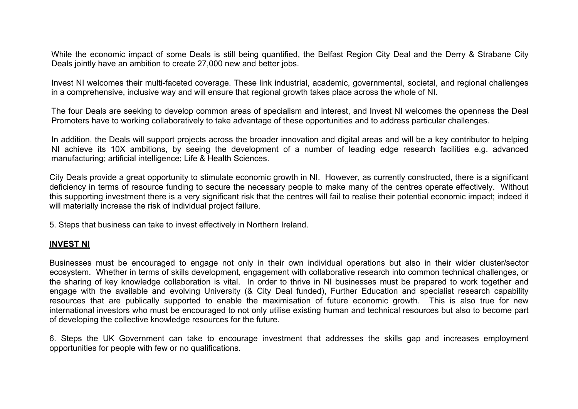While the economic impact of some Deals is still being quantified, the Belfast Region City Deal and the Derry & Strabane City Deals jointly have an ambition to create 27,000 new and better jobs.

Invest NI welcomes their multi-faceted coverage. These link industrial, academic, governmental, societal, and regional challenges in a comprehensive, inclusive way and will ensure that regional growth takes place across the whole of NI.

The four Deals are seeking to develop common areas of specialism and interest, and Invest NI welcomes the openness the Deal Promoters have to working collaboratively to take advantage of these opportunities and to address particular challenges.

In addition, the Deals will support projects across the broader innovation and digital areas and will be a key contributor to helping NI achieve its 10X ambitions, by seeing the development of a number of leading edge research facilities e.g. advanced manufacturing; artificial intelligence; Life & Health Sciences.

City Deals provide a great opportunity to stimulate economic growth in NI. However, as currently constructed, there is a significant deficiency in terms of resource funding to secure the necessary people to make many of the centres operate effectively. Without this supporting investment there is a very significant risk that the centres will fail to realise their potential economic impact; indeed it will materially increase the risk of individual project failure.

5. Steps that business can take to invest effectively in Northern Ireland.

## **INVEST NI**

Businesses must be encouraged to engage not only in their own individual operations but also in their wider cluster/sector ecosystem. Whether in terms of skills development, engagement with collaborative research into common technical challenges, or the sharing of key knowledge collaboration is vital. In order to thrive in NI businesses must be prepared to work together and engage with the available and evolving University (& City Deal funded), Further Education and specialist research capability resources that are publically supported to enable the maximisation of future economic growth. This is also true for new international investors who must be encouraged to not only utilise existing human and technical resources but also to become part of developing the collective knowledge resources for the future.

6. Steps the UK Government can take to encourage investment that addresses the skills gap and increases employment opportunities for people with few or no qualifications.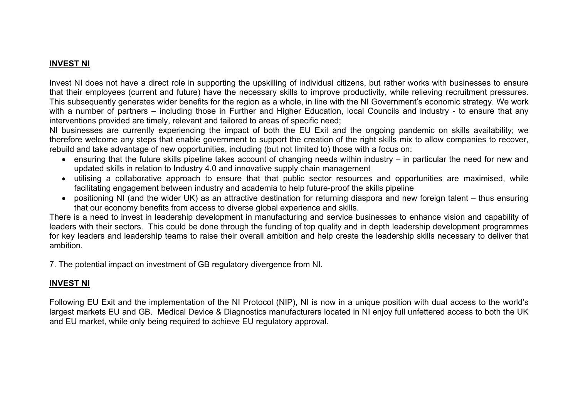# **INVEST NI**

Invest NI does not have a direct role in supporting the upskilling of individual citizens, but rather works with businesses to ensure that their employees (current and future) have the necessary skills to improve productivity, while relieving recruitment pressures. This subsequently generates wider benefits for the region as a whole, in line with the NI Government's economic strategy. We work with a number of partners – including those in Further and Higher Education, local Councils and industry - to ensure that any interventions provided are timely, relevant and tailored to areas of specific need;

NI businesses are currently experiencing the impact of both the EU Exit and the ongoing pandemic on skills availability; we therefore welcome any steps that enable government to support the creation of the right skills mix to allow companies to recover, rebuild and take advantage of new opportunities, including (but not limited to) those with a focus on:

- ensuring that the future skills pipeline takes account of changing needs within industry in particular the need for new and updated skills in relation to Industry 4.0 and innovative supply chain management
- utilising a collaborative approach to ensure that that public sector resources and opportunities are maximised, while facilitating engagement between industry and academia to help future-proof the skills pipeline
- positioning NI (and the wider UK) as an attractive destination for returning diaspora and new foreign talent thus ensuring that our economy benefits from access to diverse global experience and skills.

There is a need to invest in leadership development in manufacturing and service businesses to enhance vision and capability of leaders with their sectors. This could be done through the funding of top quality and in depth leadership development programmes for key leaders and leadership teams to raise their overall ambition and help create the leadership skills necessary to deliver that ambition.

7. The potential impact on investment of GB regulatory divergence from NI.

# **INVEST NI**

Following EU Exit and the implementation of the NI Protocol (NIP), NI is now in a unique position with dual access to the world's largest markets EU and GB. Medical Device & Diagnostics manufacturers located in NI enjoy full unfettered access to both the UK and EU market, while only being required to achieve EU regulatory approval.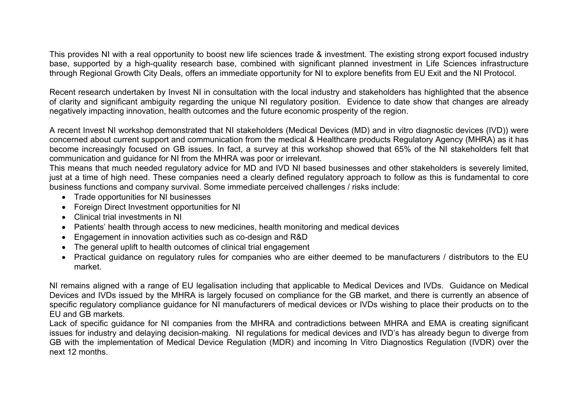This provides NI with a real opportunity to boost new life sciences trade & investment. The existing strong export focused industry base, supported by a high-quality research base, combined with significant planned investment in Life Sciences infrastructure through Regional Growth City Deals, offers an immediate opportunity for NI to explore benefits from EU Exit and the NI Protocol.

Recent research undertaken by Invest NI in consultation with the local industry and stakeholders has highlighted that the absence of clarity and significant ambiguity regarding the unique NI regulatory position. Evidence to date show that changes are already negatively impacting innovation, health outcomes and the future economic prosperity of the region.

A recent Invest NI workshop demonstrated that NI stakeholders (Medical Devices (MD) and in vitro diagnostic devices (IVD)) were concerned about current support and communication from the medical & Healthcare products Regulatory Agency (MHRA) as it has become increasingly focused on GB issues. In fact, a survey at this workshop showed that 65% of the NI stakeholders felt that communication and guidance for NI from the MHRA was poor or irrelevant.

This means that much needed regulatory advice for MD and IVD NI based businesses and other stakeholders is severely limited, just at a time of high need. These companies need a clearly defined regulatory approach to follow as this is fundamental to core business functions and company survival. Some immediate perceived challenges / risks include:

- Trade opportunities for NI businesses
- Foreign Direct Investment opportunities for NI
- Clinical trial investments in NI
- Patients' health through access to new medicines, health monitoring and medical devices
- Engagement in innovation activities such as co-design and R&D
- The general uplift to health outcomes of clinical trial engagement
- Practical guidance on regulatory rules for companies who are either deemed to be manufacturers / distributors to the EU market.

NI remains aligned with a range of EU legalisation including that applicable to Medical Devices and IVDs. Guidance on Medical Devices and IVDs issued by the MHRA is largely focused on compliance for the GB market, and there is currently an absence of specific regulatory compliance guidance for NI manufacturers of medical devices or IVDs wishing to place their products on to the EU and GB markets.

Lack of specific guidance for NI companies from the MHRA and contradictions between MHRA and EMA is creating significant issues for industry and delaying decision-making. NI regulations for medical devices and IVD's has already begun to diverge from GB with the implementation of Medical Device Regulation (MDR) and incoming In Vitro Diagnostics Regulation (IVDR) over the next 12 months.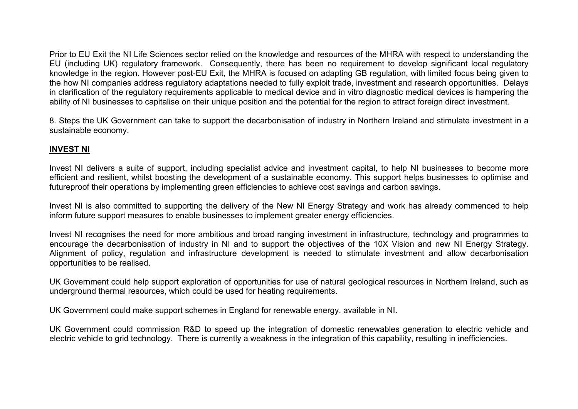Prior to EU Exit the NI Life Sciences sector relied on the knowledge and resources of the MHRA with respect to understanding the EU (including UK) regulatory framework. Consequently, there has been no requirement to develop significant local regulatory knowledge in the region. However post-EU Exit, the MHRA is focused on adapting GB regulation, with limited focus being given to the how NI companies address regulatory adaptations needed to fully exploit trade, investment and research opportunities. Delays in clarification of the regulatory requirements applicable to medical device and in vitro diagnostic medical devices is hampering the ability of NI businesses to capitalise on their unique position and the potential for the region to attract foreign direct investment.

8. Steps the UK Government can take to support the decarbonisation of industry in Northern Ireland and stimulate investment in a sustainable economy.

## **INVEST NI**

Invest NI delivers a suite of support, including specialist advice and investment capital, to help NI businesses to become more efficient and resilient, whilst boosting the development of a sustainable economy. This support helps businesses to optimise and futureproof their operations by implementing green efficiencies to achieve cost savings and carbon savings.

Invest NI is also committed to supporting the delivery of the New NI Energy Strategy and work has already commenced to help inform future support measures to enable businesses to implement greater energy efficiencies.

Invest NI recognises the need for more ambitious and broad ranging investment in infrastructure, technology and programmes to encourage the decarbonisation of industry in NI and to support the objectives of the 10X Vision and new NI Energy Strategy. Alignment of policy, regulation and infrastructure development is needed to stimulate investment and allow decarbonisation opportunities to be realised.

UK Government could help support exploration of opportunities for use of natural geological resources in Northern Ireland, such as underground thermal resources, which could be used for heating requirements.

UK Government could make support schemes in England for renewable energy, available in NI.

UK Government could commission R&D to speed up the integration of domestic renewables generation to electric vehicle and electric vehicle to grid technology. There is currently a weakness in the integration of this capability, resulting in inefficiencies.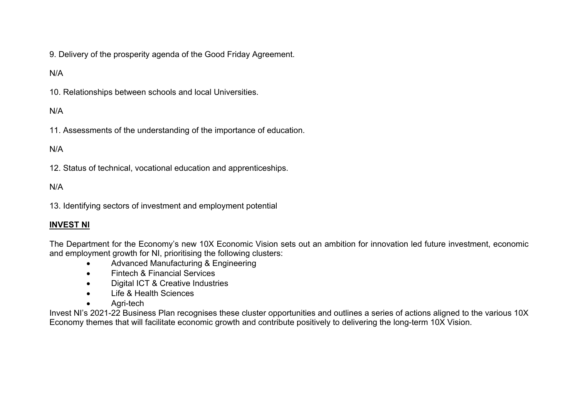9. Delivery of the prosperity agenda of the Good Friday Agreement.

# N/A

10. Relationships between schools and local Universities.

# N/A

11. Assessments of the understanding of the importance of education.

# N/A

12. Status of technical, vocational education and apprenticeships.

#### N/A

13. Identifying sectors of investment and employment potential

#### **INVEST NI**

The Department for the Economy's new 10X Economic Vision sets out an ambition for innovation led future investment, economic and employment growth for NI, prioritising the following clusters:

- Advanced Manufacturing & Engineering
- Fintech & Financial Services
- Digital ICT & Creative Industries
- **.** Life & Health Sciences
- Agri-tech

Invest NI's 2021-22 Business Plan recognises these cluster opportunities and outlines a series of actions aligned to the various 10X Economy themes that will facilitate economic growth and contribute positively to delivering the long-term 10X Vision.